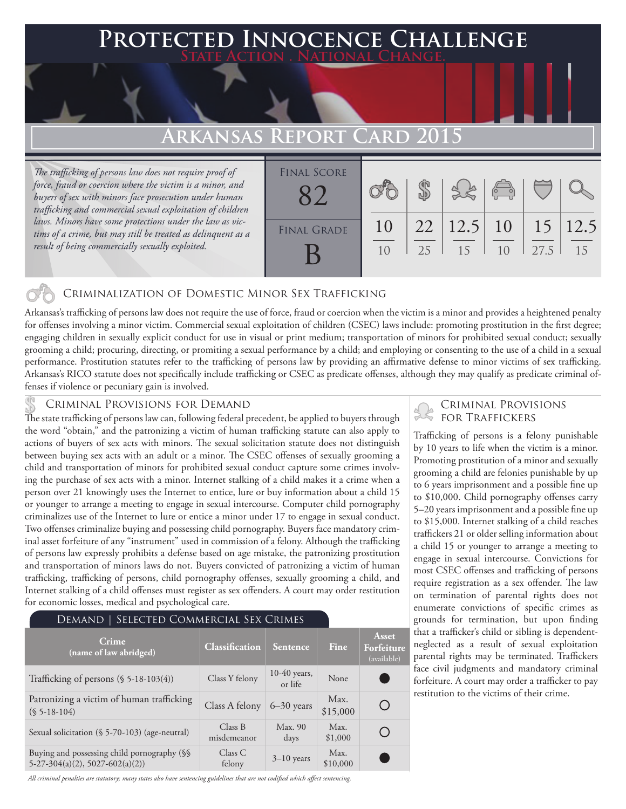## **PTED INNOCENCE CHALLENGE State Action . National Change.**

## **Arkansas Report Card 2015**

*The trafficking of persons law does not require proof of force, fraud or coercion where the victim is a minor, and buyers of sex with minors face prosecution under human trafficking and commercial sexual exploitation of children laws. Minors have some protections under the law as victims of a crime, but may still be treated as delinquent as a result of being commercially sexually exploited.*

| <b>FINAL SCORE</b> |          |    |                                     | $\begin{pmatrix} 1 & 1 \\ 0 & 1 \end{pmatrix}$ |      |    |
|--------------------|----------|----|-------------------------------------|------------------------------------------------|------|----|
| <b>FINAL GRADE</b> | 10<br>10 | 25 | $22$   12.5   10   15   12.5<br>-15 | 10                                             | 27.5 | 15 |

#### Criminalization of Domestic Minor Sex Trafficking

Arkansas's trafficking of persons law does not require the use of force, fraud or coercion when the victim is a minor and provides a heightened penalty for offenses involving a minor victim. Commercial sexual exploitation of children (CSEC) laws include: promoting prostitution in the first degree; engaging children in sexually explicit conduct for use in visual or print medium; transportation of minors for prohibited sexual conduct; sexually grooming a child; procuring, directing, or promiting a sexual performance by a child; and employing or consenting to the use of a child in a sexual performance. Prostitution statutes refer to the trafficking of persons law by providing an affirmative defense to minor victims of sex trafficking. Arkansas's RICO statute does not specifically include trafficking or CSEC as predicate offenses, although they may qualify as predicate criminal offenses if violence or pecuniary gain is involved.

CRIMINAL PROVISIONS FOR DEMAND<br>The state trafficking of persons law can, following federal precedent, be applied to buyers through FOR TRAFFICKERS the word "obtain," and the patronizing a victim of human trafficking statute can also apply to actions of buyers of sex acts with minors. The sexual solicitation statute does not distinguish between buying sex acts with an adult or a minor. The CSEC offenses of sexually grooming a child and transportation of minors for prohibited sexual conduct capture some crimes involving the purchase of sex acts with a minor. Internet stalking of a child makes it a crime when a person over 21 knowingly uses the Internet to entice, lure or buy information about a child 15 or younger to arrange a meeting to engage in sexual intercourse. Computer child pornography criminalizes use of the Internet to lure or entice a minor under 17 to engage in sexual conduct. Two offenses criminalize buying and possessing child pornography. Buyers face mandatory criminal asset forfeiture of any "instrument" used in commission of a felony. Although the trafficking of persons law expressly prohibits a defense based on age mistake, the patronizing prostitution and transportation of minors laws do not. Buyers convicted of patronizing a victim of human trafficking, trafficking of persons, child pornography offenses, sexually grooming a child, and Internet stalking of a child offenses must register as sex offenders. A court may order restitution for economic losses, medical and psychological care.

| DEMAND   SELECTED COMMERCIAL SEX CRIMES                                          |                        |                           |                  |                                                 |  |  |  |
|----------------------------------------------------------------------------------|------------------------|---------------------------|------------------|-------------------------------------------------|--|--|--|
| Crime<br>(name of law abridged)                                                  | Classification         | Sentence                  | Fine             | <b>Asset</b><br>Forfeiture<br>(available)       |  |  |  |
| Trafficking of persons $(\$ 5-18-103(4))$                                        | Class Y felony         | $10-40$ years,<br>or life | None             |                                                 |  |  |  |
| Patronizing a victim of human trafficking<br>$(S 5-18-104)$                      | Class A felony         | $6 - 30$ years            | Max.<br>\$15,000 | $\left( \begin{array}{c} 1 \end{array} \right)$ |  |  |  |
| Sexual solicitation (§ 5-70-103) (age-neutral)                                   | Class B<br>misdemeanor | Max. 90<br>days           | Max.<br>\$1,000  | ( )                                             |  |  |  |
| Buying and possessing child pornography (§§<br>$5-27-304(a)(2), 5027-602(a)(2))$ | Class C<br>felony      | $3-10$ years              | Max.<br>\$10,000 |                                                 |  |  |  |

*All criminal penalties are statutory; many states also have sentencing guidelines that are not codified which affect sentencing.* 

# Criminal Provisions

Trafficking of persons is a felony punishable by 10 years to life when the victim is a minor. Promoting prostitution of a minor and sexually grooming a child are felonies punishable by up to 6 years imprisonment and a possible fine up to \$10,000. Child pornography offenses carry 5–20 years imprisonment and a possible fine up to \$15,000. Internet stalking of a child reaches traffickers 21 or older selling information about a child 15 or younger to arrange a meeting to engage in sexual intercourse. Convictions for most CSEC offenses and trafficking of persons require registration as a sex offender. The law on termination of parental rights does not enumerate convictions of specific crimes as grounds for termination, but upon finding that a trafficker's child or sibling is dependentneglected as a result of sexual exploitation parental rights may be terminated. Traffickers face civil judgments and mandatory criminal forfeiture. A court may order a trafficker to pay restitution to the victims of their crime.